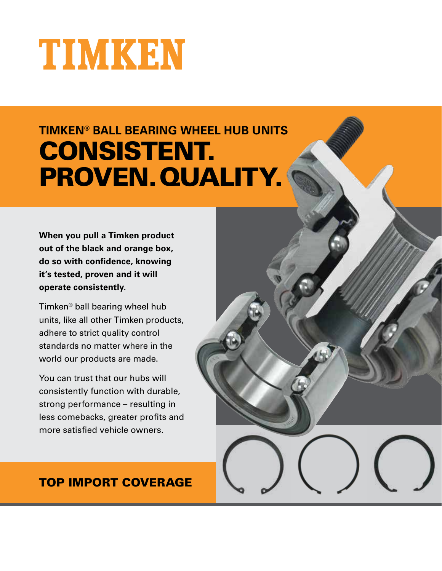# TIMKEN

# **TIMKEN® BALL BEARING WHEEL HUB UNITS** CONSISTENT. PROVEN.QUALITY.

**When you pull a Timken product out of the black and orange box, do so with confidence, knowing it's tested, proven and it will operate consistently.**

Timken® ball bearing wheel hub units, like all other Timken products, adhere to strict quality control standards no matter where in the world our products are made.

You can trust that our hubs will consistently function with durable, strong performance – resulting in less comebacks, greater profits and more satisfied vehicle owners.

### TOP IMPORT COVERAGE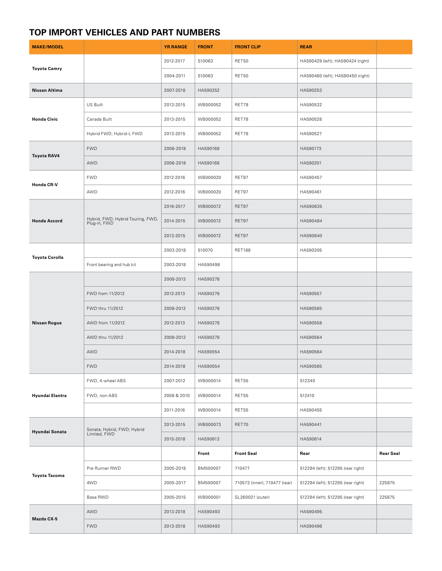## **TOP IMPORT VEHICLES AND PART NUMBERS**

| <b>MAKE/MODEL</b>     |                                                   | <b>YR RANGE</b> | <b>FRONT</b> | <b>FRONT CLIP</b>             | <b>REAR</b>                        |                  |
|-----------------------|---------------------------------------------------|-----------------|--------------|-------------------------------|------------------------------------|------------------|
| <b>Toyota Camry</b>   |                                                   | 2012-2017       | 510063       | RET50                         | HA590429 (left); HA590424 (right)  |                  |
|                       |                                                   | 2004-2011       | 510063       | RET50                         | HA590460 (left); HA590450 (right)  |                  |
| Nissan Altima         |                                                   | 2007-2018       | HA590252     |                               | HA590253                           |                  |
| <b>Honda Civic</b>    | US Built                                          | 2013-2015       | WB000052     | RET78                         | HA590532                           |                  |
|                       | Canada Built                                      | 2013-2015       | WB000052     | RET78                         | HA590528                           |                  |
|                       | Hybrid FWD; Hybrid-L FWD                          | 2013-2015       | WB000052     | RET78                         | HA590527                           |                  |
| <b>Toyota RAV4</b>    | <b>FWD</b>                                        | 2006-2018       | HA590168     |                               | HA590173                           |                  |
|                       | AWD                                               | 2006-2018       | HA590168     |                               | HA590201                           |                  |
| Honda CR-V            | <b>FWD</b>                                        | 2012-2016       | WB000020     | RET97                         | HA590457                           |                  |
|                       | AWD                                               | 2012-2016       | WB000020     | RET97                         | HA590461                           |                  |
| <b>Honda Accord</b>   | Hybrid, FWD; Hybrid Touring, FWD,<br>Plug-in, FWD | 2016-2017       | WB000072     | RET97                         | HA590635                           |                  |
|                       |                                                   | 2014-2015       | WB000072     | RET97                         | HA590484                           |                  |
|                       |                                                   | 2013-2015       | WB000072     | RET97                         | HA590640                           |                  |
| <b>Toyota Corolla</b> |                                                   | 2003-2018       | 510070       | <b>RET188</b>                 | HA590305                           |                  |
|                       | Front bearing and hub kit                         | 2003-2018       | HA590498     |                               |                                    |                  |
| <b>Nissan Rogue</b>   |                                                   | 2008-2013       | HA590278     |                               |                                    |                  |
|                       | FWD from 11/2012                                  | 2012-2013       | HA590278     |                               | HA590557                           |                  |
|                       | FWD thru 11/2012                                  | 2008-2012       | HA590278     |                               | HA590565                           |                  |
|                       | AWD from 11/2012                                  | 2012-2013       | HA590278     |                               | HA590558                           |                  |
|                       | AWD thru 11/2012                                  | 2008-2012       | HA590278     |                               | HA590564                           |                  |
|                       | AWD                                               | 2014-2018       | HA590554     |                               | HA590564                           |                  |
|                       | <b>FWD</b>                                        | 2014-2018       | HA590554     |                               | HA590565                           |                  |
| Hyundai Elantra       | FWD, 4-wheel ABS                                  | 2007-2012       | WB000014     | RET55                         | 512340                             |                  |
|                       | FWD, non-ABS                                      | 2008 & 2010     | WB000014     | RET55                         | 512410                             |                  |
|                       |                                                   | 2011-2016       | WB000014     | RET55                         | HA590455                           |                  |
| Hyundai Sonata        | Sonata; Hybrid, FWD; Hybrid<br>Limited, FWD       | 2013-2015       | WB000073     | RET70                         | HA590441                           |                  |
|                       |                                                   | 2015-2018       | HA590613     |                               | HA590614                           |                  |
| <b>Toyota Tacoma</b>  |                                                   |                 | Front        | <b>Front Seal</b>             | Rear                               | <b>Rear Seal</b> |
|                       | Pre Runner RWD                                    | 2005-2018       | BM500007     | 710477                        | 512294 (left); 512295 (rear right) |                  |
|                       | 4WD                                               | 2005-2017       | BM500007     | 710573 (inner); 710477 (rear) | 512294 (left); 512295 (rear right) | 225875           |
|                       | Base RWD                                          | 2005-2015       | WB000001     | SL260021 (outer)              | 512294 (left); 512295 (rear right) | 225875           |
| Mazda CX-5            | AWD                                               | 2013-2018       | HA590493     |                               | HA590495                           |                  |
|                       | <b>FWD</b>                                        | 2013-2018       | HA590493     |                               | HA590496                           |                  |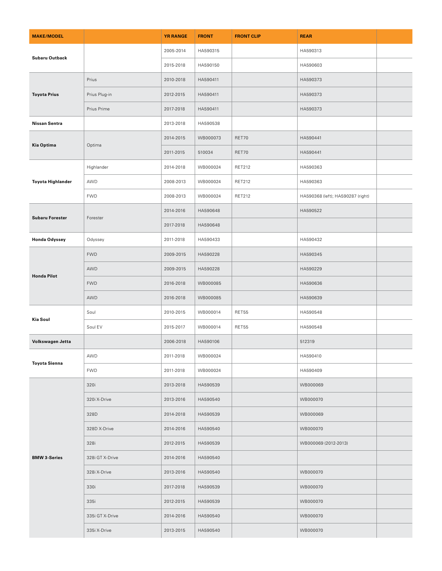| <b>MAKE/MODEL</b>        |                 | <b>YR RANGE</b> | <b>FRONT</b> | <b>FRONT CLIP</b> | <b>REAR</b>                       |  |
|--------------------------|-----------------|-----------------|--------------|-------------------|-----------------------------------|--|
| Subaru Outback           |                 | 2005-2014       | HA590315     |                   | HA590313                          |  |
|                          |                 | 2015-2018       | HA590150     |                   | HA590603                          |  |
| <b>Toyota Prius</b>      | Prius           | 2010-2018       | HA590411     |                   | HA590373                          |  |
|                          | Prius Plug-in   | 2012-2015       | HA590411     |                   | HA590373                          |  |
|                          | Prius Prime     | 2017-2018       | HA590411     |                   | HA590373                          |  |
| Nissan Sentra            |                 | 2013-2018       | HA590538     |                   |                                   |  |
| Kia Optima               | Optima          | 2014-2015       | WB000073     | RET70             | HA590441                          |  |
|                          |                 | 2011-2015       | 510034       | RET70             | HA590441                          |  |
| <b>Toyota Highlander</b> | Highlander      | 2014-2018       | WB000024     | RET212            | HA590363                          |  |
|                          | AWD             | 2008-2013       | WB000024     | <b>RET212</b>     | HA590363                          |  |
|                          | <b>FWD</b>      | 2008-2013       | WB000024     | <b>RET212</b>     | HA590368 (left); HA590287 (right) |  |
| <b>Subaru Forester</b>   | Forester        | 2014-2016       | HA590648     |                   | HA590522                          |  |
|                          |                 | 2017-2018       | HA590648     |                   |                                   |  |
| <b>Honda Odyssey</b>     | Odyssey         | 2011-2018       | HA590433     |                   | HA590432                          |  |
| <b>Honda Pilot</b>       | <b>FWD</b>      | 2009-2015       | HA590228     |                   | HA590345                          |  |
|                          | AWD             | 2009-2015       | HA590228     |                   | HA590229                          |  |
|                          | <b>FWD</b>      | 2016-2018       | WB000085     |                   | HA590636                          |  |
|                          | AWD             | 2016-2018       | WB000085     |                   | HA590639                          |  |
| Kia Soul                 | Soul            | 2010-2015       | WB000014     | RET55             | HA590548                          |  |
|                          | Soul EV         | 2015-2017       | WB000014     | RET55             | HA590548                          |  |
| Volkswagen Jetta         |                 | 2006-2018       | HA590106     |                   | 512319                            |  |
| <b>Toyota Sienna</b>     | AWD             | 2011-2018       | WB000024     |                   | HA590410                          |  |
|                          | <b>FWD</b>      | 2011-2018       | WB000024     |                   | HA590409                          |  |
| <b>BMW 3-Series</b>      | 320i            | 2013-2018       | HA590539     |                   | WB000069                          |  |
|                          | 320i X-Drive    | 2013-2016       | HA590540     |                   | WB000070                          |  |
|                          | 328D            | 2014-2018       | HA590539     |                   | WB000069                          |  |
|                          | 328D X-Drive    | 2014-2016       | HA590540     |                   | WB000070                          |  |
|                          | 328i            | 2012-2015       | HA590539     |                   | WB000069 (2012-2013)              |  |
|                          | 328i GT X-Drive | 2014-2016       | HA590540     |                   |                                   |  |
|                          | 328i X-Drive    | 2013-2016       | HA590540     |                   | WB000070                          |  |
|                          | 330i            | 2017-2018       | HA590539     |                   | WB000070                          |  |
|                          | 335i            | 2012-2015       | HA590539     |                   | WB000070                          |  |
|                          | 335i GT X-Drive | 2014-2016       | HA590540     |                   | WB000070                          |  |
|                          | 335i X-Drive    | 2013-2015       | HA590540     |                   | WB000070                          |  |